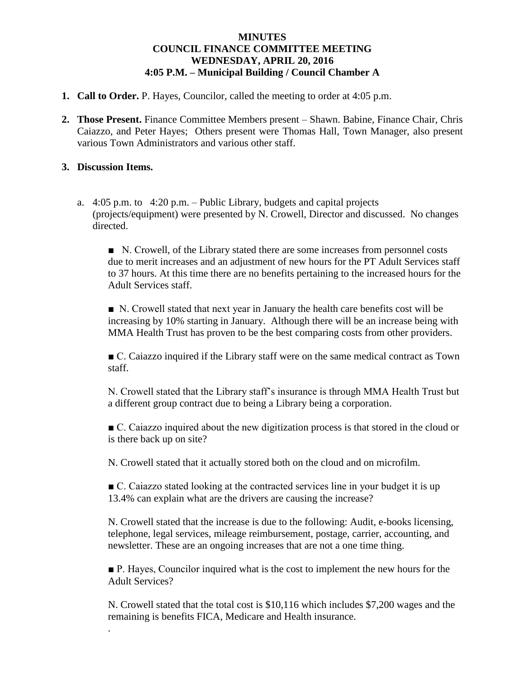## **MINUTES COUNCIL FINANCE COMMITTEE MEETING WEDNESDAY, APRIL 20, 2016 4:05 P.M. – Municipal Building / Council Chamber A**

- **1. Call to Order.** P. Hayes, Councilor, called the meeting to order at 4:05 p.m.
- **2. Those Present.** Finance Committee Members present Shawn. Babine, Finance Chair, Chris Caiazzo, and Peter Hayes; Others present were Thomas Hall, Town Manager, also present various Town Administrators and various other staff.

## **3. Discussion Items.**

.

a. 4:05 p.m. to 4:20 p.m. – Public Library, budgets and capital projects (projects/equipment) were presented by N. Crowell, Director and discussed. No changes directed.

■ N. Crowell, of the Library stated there are some increases from personnel costs due to merit increases and an adjustment of new hours for the PT Adult Services staff to 37 hours. At this time there are no benefits pertaining to the increased hours for the Adult Services staff.

■ N. Crowell stated that next year in January the health care benefits cost will be increasing by 10% starting in January. Although there will be an increase being with MMA Health Trust has proven to be the best comparing costs from other providers.

■ C. Caiazzo inquired if the Library staff were on the same medical contract as Town staff.

N. Crowell stated that the Library staff's insurance is through MMA Health Trust but a different group contract due to being a Library being a corporation.

■ C. Caiazzo inquired about the new digitization process is that stored in the cloud or is there back up on site?

N. Crowell stated that it actually stored both on the cloud and on microfilm.

■ C. Caiazzo stated looking at the contracted services line in your budget it is up 13.4% can explain what are the drivers are causing the increase?

N. Crowell stated that the increase is due to the following: Audit, e-books licensing, telephone, legal services, mileage reimbursement, postage, carrier, accounting, and newsletter. These are an ongoing increases that are not a one time thing.

■ P. Hayes, Councilor inquired what is the cost to implement the new hours for the Adult Services?

N. Crowell stated that the total cost is \$10,116 which includes \$7,200 wages and the remaining is benefits FICA, Medicare and Health insurance.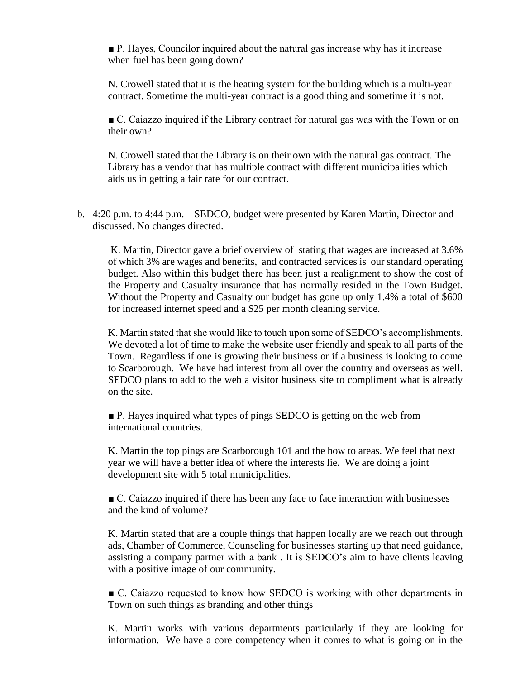■ P. Hayes, Councilor inquired about the natural gas increase why has it increase when fuel has been going down?

N. Crowell stated that it is the heating system for the building which is a multi-year contract. Sometime the multi-year contract is a good thing and sometime it is not.

■ C. Caiazzo inquired if the Library contract for natural gas was with the Town or on their own?

N. Crowell stated that the Library is on their own with the natural gas contract. The Library has a vendor that has multiple contract with different municipalities which aids us in getting a fair rate for our contract.

b. 4:20 p.m. to 4:44 p.m. – SEDCO, budget were presented by Karen Martin, Director and discussed. No changes directed.

K. Martin, Director gave a brief overview of stating that wages are increased at 3.6% of which 3% are wages and benefits, and contracted services is our standard operating budget. Also within this budget there has been just a realignment to show the cost of the Property and Casualty insurance that has normally resided in the Town Budget. Without the Property and Casualty our budget has gone up only 1.4% a total of \$600 for increased internet speed and a \$25 per month cleaning service.

 K. Martin stated that she would like to touch upon some of SEDCO's accomplishments. We devoted a lot of time to make the website user friendly and speak to all parts of the Town. Regardless if one is growing their business or if a business is looking to come to Scarborough. We have had interest from all over the country and overseas as well. SEDCO plans to add to the web a visitor business site to compliment what is already on the site.

■ P. Hayes inquired what types of pings SEDCO is getting on the web from international countries.

K. Martin the top pings are Scarborough 101 and the how to areas. We feel that next year we will have a better idea of where the interests lie. We are doing a joint development site with 5 total municipalities.

■ C. Caiazzo inquired if there has been any face to face interaction with businesses and the kind of volume?

K. Martin stated that are a couple things that happen locally are we reach out through ads, Chamber of Commerce, Counseling for businesses starting up that need guidance, assisting a company partner with a bank . It is SEDCO's aim to have clients leaving with a positive image of our community.

■ C. Caiazzo requested to know how SEDCO is working with other departments in Town on such things as branding and other things

K. Martin works with various departments particularly if they are looking for information. We have a core competency when it comes to what is going on in the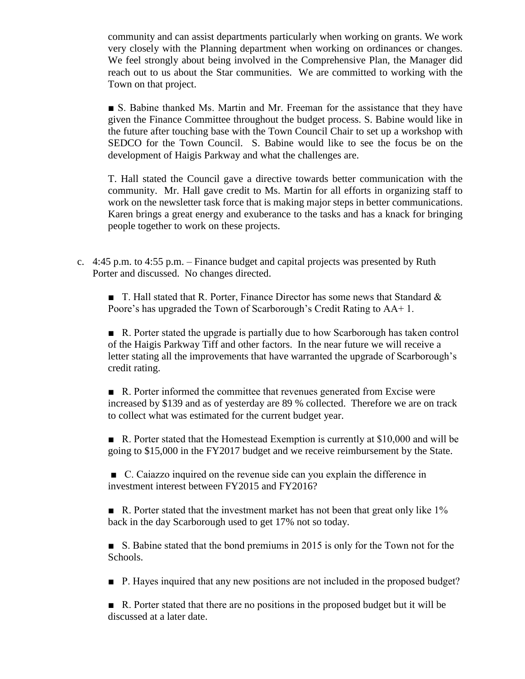community and can assist departments particularly when working on grants. We work very closely with the Planning department when working on ordinances or changes. We feel strongly about being involved in the Comprehensive Plan, the Manager did reach out to us about the Star communities. We are committed to working with the Town on that project.

■ S. Babine thanked Ms. Martin and Mr. Freeman for the assistance that they have given the Finance Committee throughout the budget process. S. Babine would like in the future after touching base with the Town Council Chair to set up a workshop with SEDCO for the Town Council. S. Babine would like to see the focus be on the development of Haigis Parkway and what the challenges are.

T. Hall stated the Council gave a directive towards better communication with the community. Mr. Hall gave credit to Ms. Martin for all efforts in organizing staff to work on the newsletter task force that is making major steps in better communications. Karen brings a great energy and exuberance to the tasks and has a knack for bringing people together to work on these projects.

c. 4:45 p.m. to 4:55 p.m. – Finance budget and capital projects was presented by Ruth Porter and discussed. No changes directed.

**T.** Hall stated that R. Porter, Finance Director has some news that Standard  $\&$ Poore's has upgraded the Town of Scarborough's Credit Rating to AA+ 1.

■ R. Porter stated the upgrade is partially due to how Scarborough has taken control of the Haigis Parkway Tiff and other factors. In the near future we will receive a letter stating all the improvements that have warranted the upgrade of Scarborough's credit rating.

■ R. Porter informed the committee that revenues generated from Excise were increased by \$139 and as of yesterday are 89 % collected. Therefore we are on track to collect what was estimated for the current budget year.

■ R. Porter stated that the Homestead Exemption is currently at \$10,000 and will be going to \$15,000 in the FY2017 budget and we receive reimbursement by the State.

■ C. Caiazzo inquired on the revenue side can you explain the difference in investment interest between FY2015 and FY2016?

 $\blacksquare$  R. Porter stated that the investment market has not been that great only like 1% back in the day Scarborough used to get 17% not so today.

■ S. Babine stated that the bond premiums in 2015 is only for the Town not for the Schools.

■ P. Hayes inquired that any new positions are not included in the proposed budget?

■ R. Porter stated that there are no positions in the proposed budget but it will be discussed at a later date.